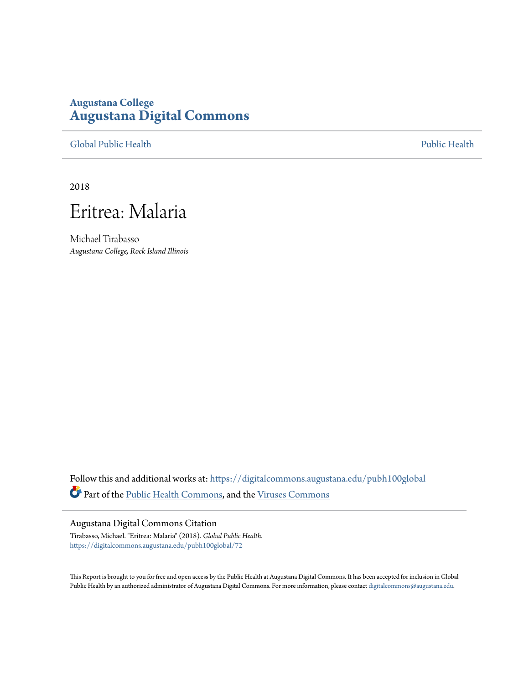## **Augustana College [Augustana Digital Commons](https://digitalcommons.augustana.edu?utm_source=digitalcommons.augustana.edu%2Fpubh100global%2F72&utm_medium=PDF&utm_campaign=PDFCoverPages)**

[Global Public Health](https://digitalcommons.augustana.edu/pubh100global?utm_source=digitalcommons.augustana.edu%2Fpubh100global%2F72&utm_medium=PDF&utm_campaign=PDFCoverPages) [Public Health](https://digitalcommons.augustana.edu/publichealth?utm_source=digitalcommons.augustana.edu%2Fpubh100global%2F72&utm_medium=PDF&utm_campaign=PDFCoverPages)

2018



Michael Tirabasso *Augustana College, Rock Island Illinois*

Follow this and additional works at: [https://digitalcommons.augustana.edu/pubh100global](https://digitalcommons.augustana.edu/pubh100global?utm_source=digitalcommons.augustana.edu%2Fpubh100global%2F72&utm_medium=PDF&utm_campaign=PDFCoverPages) Part of the [Public Health Commons,](http://network.bepress.com/hgg/discipline/738?utm_source=digitalcommons.augustana.edu%2Fpubh100global%2F72&utm_medium=PDF&utm_campaign=PDFCoverPages) and the [Viruses Commons](http://network.bepress.com/hgg/discipline/987?utm_source=digitalcommons.augustana.edu%2Fpubh100global%2F72&utm_medium=PDF&utm_campaign=PDFCoverPages)

## Augustana Digital Commons Citation

Tirabasso, Michael. "Eritrea: Malaria" (2018). *Global Public Health.* [https://digitalcommons.augustana.edu/pubh100global/72](https://digitalcommons.augustana.edu/pubh100global/72?utm_source=digitalcommons.augustana.edu%2Fpubh100global%2F72&utm_medium=PDF&utm_campaign=PDFCoverPages)

This Report is brought to you for free and open access by the Public Health at Augustana Digital Commons. It has been accepted for inclusion in Global Public Health by an authorized administrator of Augustana Digital Commons. For more information, please contact [digitalcommons@augustana.edu.](mailto:digitalcommons@augustana.edu)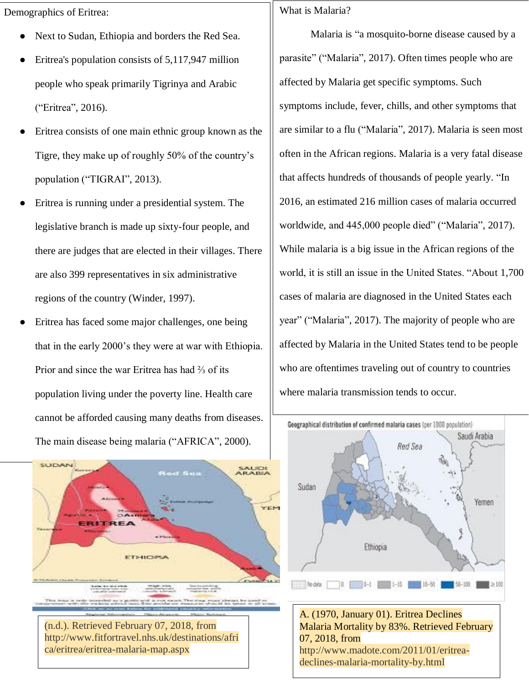Demographics of Eritrea:

- Next to Sudan, Ethiopia and borders the Red Sea.
- Eritrea's population consists of 5,117,947 million people who speak primarily Tigrinya and Arabic ("Eritrea", 2016).
- Eritrea consists of one main ethnic group known as the Tigre, they make up of roughly 50% of the country's population ("TIGRAI", 2013).
- Eritrea is running under a presidential system. The legislative branch is made up sixty-four people, and there are judges that are elected in their villages. There are also 399 representatives in six administrative regions of the country (Winder, 1997).
- Eritrea has faced some major challenges, one being that in the early 2000's they were at war with Ethiopia. Prior and since the war Eritrea has had ⅔ of its population living under the poverty line. Health care cannot be afforded causing many deaths from diseases. The main disease being malaria ("AFRICA", 2000).

**SUDAN SAUDI**<br>ARABIA YEN **ETHIOPIA** 

(n.d.). Retrieved February 07, 2018, from http://www.fitfortravel.nhs.uk/destinations/afri ca/eritrea/eritrea-malaria-map.aspx

## What is Malaria?

Malaria is "a mosquito-borne disease caused by a parasite" ("Malaria", 2017). Often times people who are affected by Malaria get specific symptoms. Such symptoms include, fever, chills, and other symptoms that are similar to a flu ("Malaria", 2017). Malaria is seen most often in the African regions. Malaria is a very fatal disease that affects hundreds of thousands of people yearly. "In 2016, an estimated 216 million cases of malaria occurred worldwide, and 445,000 people died" ("Malaria", 2017). While malaria is a big issue in the African regions of the world, it is still an issue in the United States. "About 1,700 cases of malaria are diagnosed in the United States each year" ("Malaria", 2017). The majority of people who are affected by Malaria in the United States tend to be people who are oftentimes traveling out of country to countries where malaria transmission tends to occur.



A. (1970, January 01). Eritrea Declines Malaria Mortality by 83%. Retrieved February 07, 2018, from http://www.madote.com/2011/01/eritreadeclines-malaria-mortality-by.html